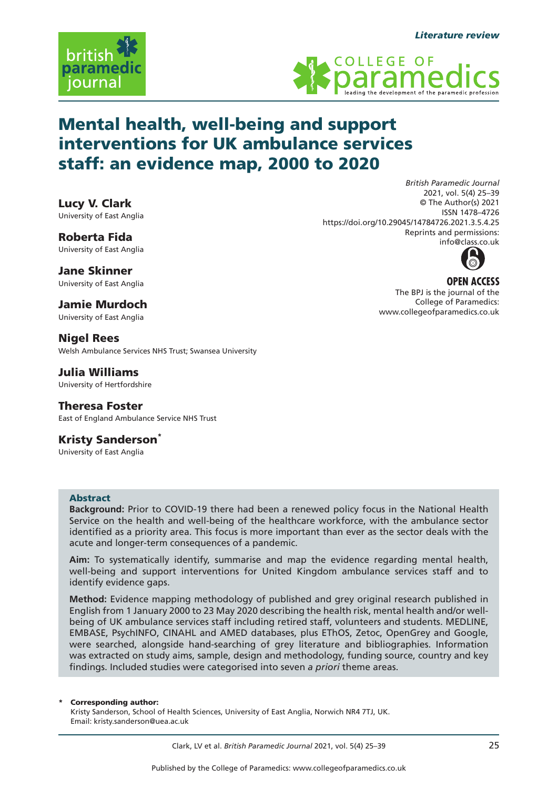





# Mental health, well-being and support interventions for UK ambulance services staff: an evidence map, 2000 to 2020

Lucy V. Clark University of East Anglia

Roberta Fida University of East Anglia

Jane Skinner University of East Anglia

Jamie Murdoch University of East Anglia

Nigel Rees Welsh Ambulance Services NHS Trust; Swansea University

Julia Williams University of Hertfordshire

Theresa Foster East of England Ambulance Service NHS Trust

**Kristy Sanderson<sup>\*</sup>** University of East Anglia

## Abstract

**Background:** Prior to COVID-19 there had been a renewed policy focus in the National Health Service on the health and well-being of the healthcare workforce, with the ambulance sector identified as a priority area. This focus is more important than ever as the sector deals with the acute and longer-term consequences of a pandemic.

**Aim:** To systematically identify, summarise and map the evidence regarding mental health, well-being and support interventions for United Kingdom ambulance services staff and to identify evidence gaps.

**Method:** Evidence mapping methodology of published and grey original research published in English from 1 January 2000 to 23 May 2020 describing the health risk, mental health and/or wellbeing of UK ambulance services staff including retired staff, volunteers and students. MEDLINE, EMBASE, PsychINFO, CINAHL and AMED databases, plus EThOS, Zetoc, OpenGrey and Google, were searched, alongside hand-searching of grey literature and bibliographies. Information was extracted on study aims, sample, design and methodology, funding source, country and key findings. Included studies were categorised into seven *a priori* theme areas.

#### Corresponding author:

Kristy Sanderson, School of Health Sciences, University of East Anglia, Norwich NR4 7TJ, UK. Email: kristy.sanderson@uea.ac.uk





**OPEN ACCESS** The BPJ is the journal of the College of Paramedics: www.collegeofparamedics.co.uk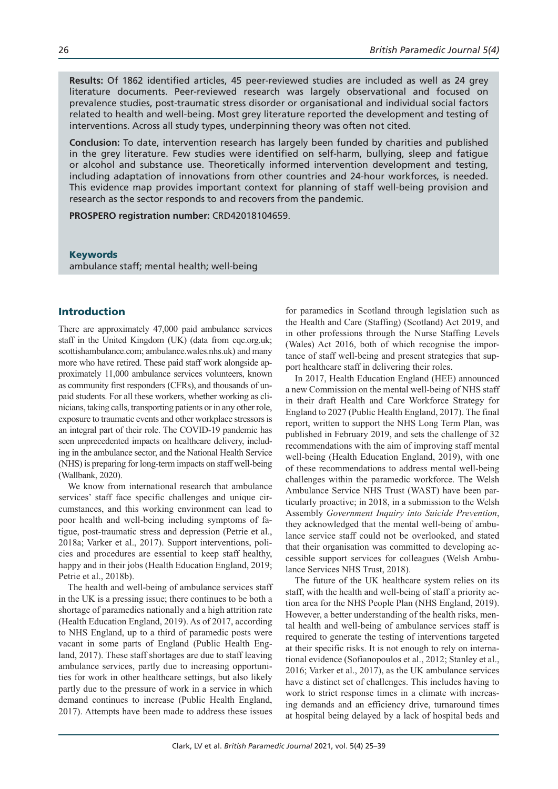**Results:** Of 1862 identified articles, 45 peer-reviewed studies are included as well as 24 grey literature documents. Peer-reviewed research was largely observational and focused on prevalence studies, post-traumatic stress disorder or organisational and individual social factors related to health and well-being. Most grey literature reported the development and testing of interventions. Across all study types, underpinning theory was often not cited.

**Conclusion:** To date, intervention research has largely been funded by charities and published in the grey literature. Few studies were identified on self-harm, bullying, sleep and fatigue or alcohol and substance use. Theoretically informed intervention development and testing, including adaptation of innovations from other countries and 24-hour workforces, is needed. This evidence map provides important context for planning of staff well-being provision and research as the sector responds to and recovers from the pandemic.

**PROSPERO registration number:** CRD42018104659.

Keywords ambulance staff; mental health; well-being

# Introduction

There are approximately 47,000 paid ambulance services staff in the United Kingdom (UK) (data from cqc.org.uk; scottishambulance.com; ambulance.wales.nhs.uk) and many more who have retired. These paid staff work alongside approximately 11,000 ambulance services volunteers, known as community first responders (CFRs), and thousands of unpaid students. For all these workers, whether working as clinicians, taking calls, transporting patients or in any other role, exposure to traumatic events and other workplace stressors is an integral part of their role. The COVID-19 pandemic has seen unprecedented impacts on healthcare delivery, including in the ambulance sector, and the National Health Service (NHS) is preparing for long-term impacts on staff well-being (Wallbank, 2020).

We know from international research that ambulance services' staff face specific challenges and unique circumstances, and this working environment can lead to poor health and well-being including symptoms of fatigue, post-traumatic stress and depression (Petrie et al., 2018a; Varker et al., 2017). Support interventions, policies and procedures are essential to keep staff healthy, happy and in their jobs (Health Education England, 2019; Petrie et al., 2018b).

The health and well-being of ambulance services staff in the UK is a pressing issue; there continues to be both a shortage of paramedics nationally and a high attrition rate (Health Education England, 2019). As of 2017, according to NHS England, up to a third of paramedic posts were vacant in some parts of England (Public Health England, 2017). These staff shortages are due to staff leaving ambulance services, partly due to increasing opportunities for work in other healthcare settings, but also likely partly due to the pressure of work in a service in which demand continues to increase (Public Health England, 2017). Attempts have been made to address these issues

for paramedics in Scotland through legislation such as the Health and Care (Staffing) (Scotland) Act 2019, and in other professions through the Nurse Staffing Levels (Wales) Act 2016, both of which recognise the importance of staff well-being and present strategies that support healthcare staff in delivering their roles.

In 2017, Health Education England (HEE) announced a new Commission on the mental well-being of NHS staff in their draft Health and Care Workforce Strategy for England to 2027 (Public Health England, 2017). The final report, written to support the NHS Long Term Plan, was published in February 2019, and sets the challenge of 32 recommendations with the aim of improving staff mental well-being (Health Education England, 2019), with one of these recommendations to address mental well-being challenges within the paramedic workforce. The Welsh Ambulance Service NHS Trust (WAST) have been particularly proactive; in 2018, in a submission to the Welsh Assembly *Government Inquiry into Suicide Prevention*, they acknowledged that the mental well-being of ambulance service staff could not be overlooked, and stated that their organisation was committed to developing accessible support services for colleagues (Welsh Ambulance Services NHS Trust, 2018).

The future of the UK healthcare system relies on its staff, with the health and well-being of staff a priority action area for the NHS People Plan (NHS England, 2019). However, a better understanding of the health risks, mental health and well-being of ambulance services staff is required to generate the testing of interventions targeted at their specific risks. It is not enough to rely on international evidence (Sofianopoulos et al., 2012; Stanley et al., 2016; Varker et al., 2017), as the UK ambulance services have a distinct set of challenges. This includes having to work to strict response times in a climate with increasing demands and an efficiency drive, turnaround times at hospital being delayed by a lack of hospital beds and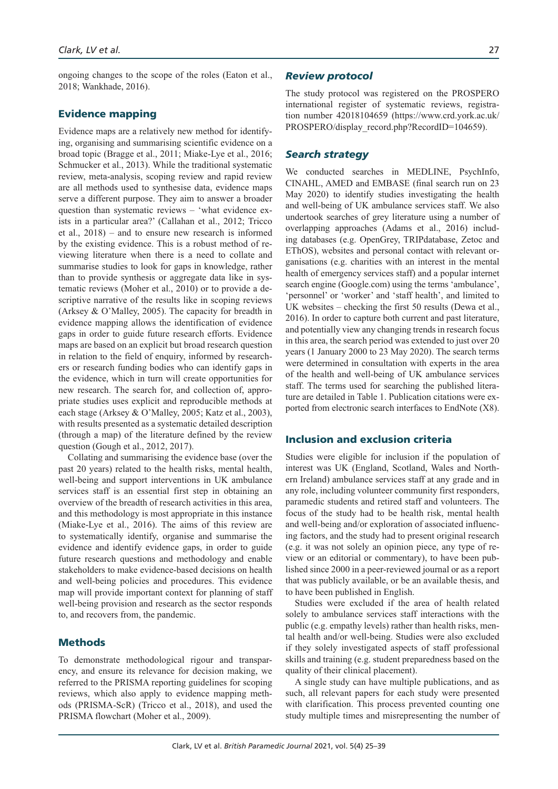ongoing changes to the scope of the roles (Eaton et al., 2018; Wankhade, 2016).

## Evidence mapping

Evidence maps are a relatively new method for identifying, organising and summarising scientific evidence on a broad topic (Bragge et al., 2011; Miake-Lye et al., 2016; Schmucker et al., 2013). While the traditional systematic review, meta-analysis, scoping review and rapid review are all methods used to synthesise data, evidence maps serve a different purpose. They aim to answer a broader question than systematic reviews – 'what evidence exists in a particular area?' (Callahan et al., 2012; Tricco et al., 2018) – and to ensure new research is informed by the existing evidence. This is a robust method of reviewing literature when there is a need to collate and summarise studies to look for gaps in knowledge, rather than to provide synthesis or aggregate data like in systematic reviews (Moher et al., 2010) or to provide a descriptive narrative of the results like in scoping reviews (Arksey & O'Malley, 2005). The capacity for breadth in evidence mapping allows the identification of evidence gaps in order to guide future research efforts. Evidence maps are based on an explicit but broad research question in relation to the field of enquiry, informed by researchers or research funding bodies who can identify gaps in the evidence, which in turn will create opportunities for new research. The search for, and collection of, appropriate studies uses explicit and reproducible methods at each stage (Arksey & O'Malley, 2005; Katz et al., 2003), with results presented as a systematic detailed description (through a map) of the literature defined by the review question (Gough et al., 2012, 2017).

Collating and summarising the evidence base (over the past 20 years) related to the health risks, mental health, well-being and support interventions in UK ambulance services staff is an essential first step in obtaining an overview of the breadth of research activities in this area, and this methodology is most appropriate in this instance (Miake-Lye et al., 2016). The aims of this review are to systematically identify, organise and summarise the evidence and identify evidence gaps, in order to guide future research questions and methodology and enable stakeholders to make evidence-based decisions on health and well-being policies and procedures. This evidence map will provide important context for planning of staff well-being provision and research as the sector responds to, and recovers from, the pandemic.

# Methods

To demonstrate methodological rigour and transparency, and ensure its relevance for decision making, we referred to the PRISMA reporting guidelines for scoping reviews, which also apply to evidence mapping methods (PRISMA-ScR) (Tricco et al., 2018), and used the PRISMA flowchart (Moher et al., 2009).

#### *Review protocol*

The study protocol was registered on the PROSPERO international register of systematic reviews, registration number 42018104659 (https://www.crd.york.ac.uk/ PROSPERO/display\_record.php?RecordID=104659).

#### *Search strategy*

We conducted searches in MEDLINE, PsychInfo, CINAHL, AMED and EMBASE (final search run on 23 May 2020) to identify studies investigating the health and well-being of UK ambulance services staff. We also undertook searches of grey literature using a number of overlapping approaches (Adams et al., 2016) including databases (e.g. OpenGrey, TRIPdatabase, Zetoc and EThOS), websites and personal contact with relevant organisations (e.g. charities with an interest in the mental health of emergency services staff) and a popular internet search engine (Google.com) using the terms 'ambulance', 'personnel' or 'worker' and 'staff health', and limited to UK websites – checking the first 50 results (Dewa et al., 2016). In order to capture both current and past literature, and potentially view any changing trends in research focus in this area, the search period was extended to just over 20 years (1 January 2000 to 23 May 2020). The search terms were determined in consultation with experts in the area of the health and well-being of UK ambulance services staff. The terms used for searching the published literature are detailed in Table 1. Publication citations were exported from electronic search interfaces to EndNote (X8).

# Inclusion and exclusion criteria

Studies were eligible for inclusion if the population of interest was UK (England, Scotland, Wales and Northern Ireland) ambulance services staff at any grade and in any role, including volunteer community first responders, paramedic students and retired staff and volunteers. The focus of the study had to be health risk, mental health and well-being and/or exploration of associated influencing factors, and the study had to present original research (e.g. it was not solely an opinion piece, any type of review or an editorial or commentary), to have been published since 2000 in a peer-reviewed journal or as a report that was publicly available, or be an available thesis, and to have been published in English.

Studies were excluded if the area of health related solely to ambulance services staff interactions with the public (e.g. empathy levels) rather than health risks, mental health and/or well-being. Studies were also excluded if they solely investigated aspects of staff professional skills and training (e.g. student preparedness based on the quality of their clinical placement).

A single study can have multiple publications, and as such, all relevant papers for each study were presented with clarification. This process prevented counting one study multiple times and misrepresenting the number of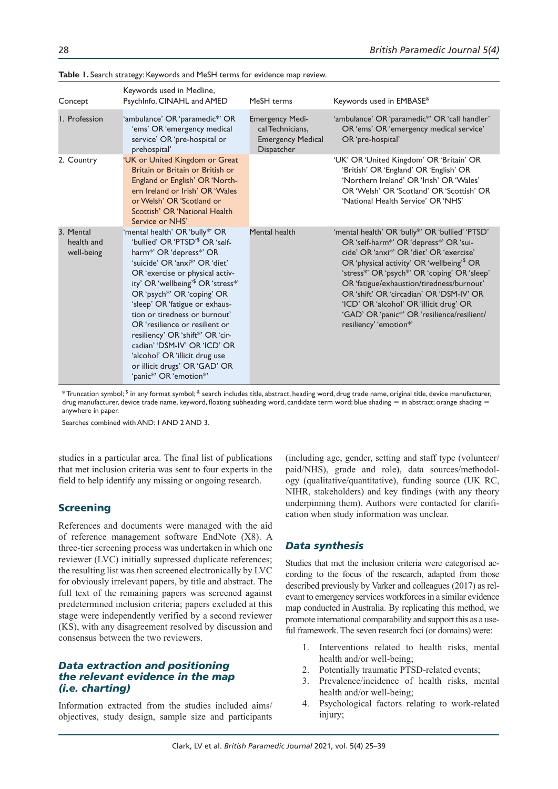| Concept                               | Keywords used in Medline,<br>PsychInfo, CINAHL and AMED                                                                                                                                                                                                                                                                                                                                                                                                                                                                                                      | MeSH terms                                                                           | Keywords used in EMBASE <sup>&amp;</sup>                                                                                                                                                                                                                                                                                                                                                                                                         |
|---------------------------------------|--------------------------------------------------------------------------------------------------------------------------------------------------------------------------------------------------------------------------------------------------------------------------------------------------------------------------------------------------------------------------------------------------------------------------------------------------------------------------------------------------------------------------------------------------------------|--------------------------------------------------------------------------------------|--------------------------------------------------------------------------------------------------------------------------------------------------------------------------------------------------------------------------------------------------------------------------------------------------------------------------------------------------------------------------------------------------------------------------------------------------|
| I. Profession                         | 'ambulance' OR 'paramedic*' OR<br>'ems' OR 'emergency medical<br>service' OR 'pre-hospital or<br>prehospital'                                                                                                                                                                                                                                                                                                                                                                                                                                                | <b>Emergency Medi-</b><br>cal Technicians.<br><b>Emergency Medical</b><br>Dispatcher | 'ambulance' OR 'paramedic*' OR 'call handler'<br>OR 'ems' OR 'emergency medical service'<br>OR 'pre-hospital'                                                                                                                                                                                                                                                                                                                                    |
| 2. Country                            | 'UK or United Kingdom or Great<br>Britain or Britain or British or<br>England or English' OR 'North-<br>ern Ireland or Irish' OR 'Wales<br>or Welsh' OR 'Scotland or<br>Scottish' OR 'National Health<br>Service or NHS'                                                                                                                                                                                                                                                                                                                                     |                                                                                      | 'UK' OR 'United Kingdom' OR 'Britain' OR<br>'British' OR 'England' OR 'English' OR<br>'Northern Ireland' OR 'Irish' OR 'Wales'<br>OR 'Welsh' OR 'Scotland' OR 'Scottish' OR<br>'National Health Service' OR 'NHS'                                                                                                                                                                                                                                |
| 3. Mental<br>health and<br>well-being | 'mental health' OR 'bully*' OR<br>'bullied' OR 'PTSD' <sup>\$</sup> OR 'self-<br>harm*' OR 'depress*' OR<br>'suicide' OR 'anxi*' OR 'diet'<br>OR 'exercise or physical activ-<br>ity' OR 'wellbeing' <sup>\$</sup> OR 'stress <sup>*'</sup><br>OR 'psych <sup>*</sup> ' OR 'coping' OR<br>'sleep' OR 'fatigue or exhaus-<br>tion or tiredness or burnout'<br>OR 'resilience or resilient or<br>resiliency' OR 'shift*' OR 'cir-<br>cadian' 'DSM-IV' OR 'ICD' OR<br>'alcohol' OR 'illicit drug use<br>or illicit drugs' OR 'GAD' OR<br>'panic*' OR 'emotion*' | Mental health                                                                        | 'mental health' OR 'bully*' OR 'bullied' 'PTSD'<br>OR 'self-harm*' OR 'depress*' OR 'sui-<br>cide' OR 'anxi*' OR 'diet' OR 'exercise'<br>OR 'physical activity' OR 'wellbeing'\$ OR<br>'stress*' OR 'psych*' OR 'coping' OR 'sleep'<br>OR 'fatigue/exhaustion/tiredness/burnout'<br>OR 'shift' OR 'circadian' OR 'DSM-IV' OR<br>'ICD' OR 'alcohol' OR 'illicit drug' OR<br>'GAD' OR 'panic*' OR 'resilience/resilient/<br>resiliency' 'emotion*' |

**Table 1.** Search strategy: Keywords and MeSH terms for evidence map review.

 $^\ast$ Truncation symbol;  $^{\$}$  in any format symbol;  $^{\&}$  search includes title, abstract, heading word, drug trade name, original title, device manufacturer, drug manufacturer, device trade name, keyword, floating subheading word, candidate term word; blue shading  $=$  in abstract; orange shading  $=$ anywhere in paper.

Searches combined with AND: 1 AND 2 AND 3.

studies in a particular area. The final list of publications that met inclusion criteria was sent to four experts in the field to help identify any missing or ongoing research.

#### Screening

References and documents were managed with the aid of reference management software EndNote (X8). A three-tier screening process was undertaken in which one reviewer (LVC) initially supressed duplicate references; the resulting list was then screened electronically by LVC for obviously irrelevant papers, by title and abstract. The full text of the remaining papers was screened against predetermined inclusion criteria; papers excluded at this stage were independently verified by a second reviewer (KS), with any disagreement resolved by discussion and consensus between the two reviewers.

## *Data extraction and positioning the relevant evidence in the map (i.e. charting)*

Information extracted from the studies included aims/ objectives, study design, sample size and participants

(including age, gender, setting and staff type (volunteer/ paid/NHS), grade and role), data sources/methodology (qualitative/quantitative), funding source (UK RC, NIHR, stakeholders) and key findings (with any theory underpinning them). Authors were contacted for clarification when study information was unclear.

# *Data synthesis*

Studies that met the inclusion criteria were categorised according to the focus of the research, adapted from those described previously by Varker and colleagues (2017) as relevant to emergency services workforces in a similar evidence map conducted in Australia. By replicating this method, we promote international comparability and support this as a useful framework. The seven research foci (or domains) were:

- 1. Interventions related to health risks, mental health and/or well-being;
- 2. Potentially traumatic PTSD-related events;
- 3. Prevalence/incidence of health risks, mental health and/or well-being;
- 4. Psychological factors relating to work-related injury;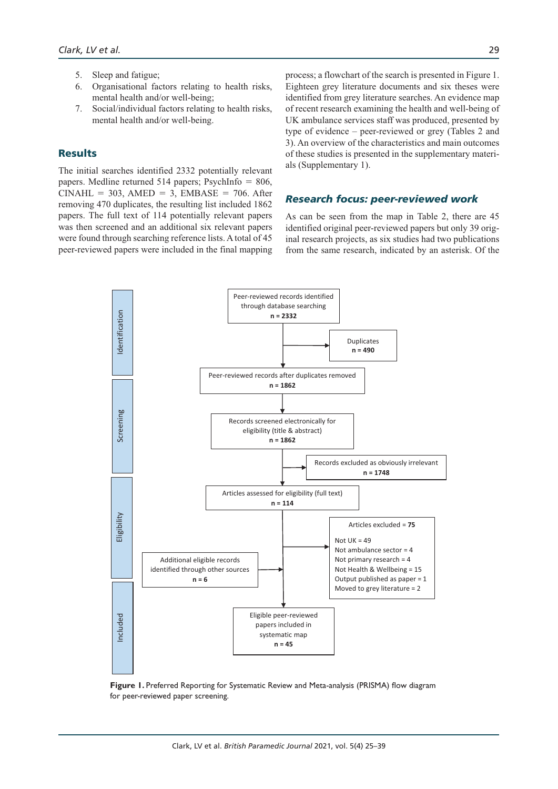- 5. Sleep and fatigue;
- 6. Organisational factors relating to health risks, mental health and/or well-being;
- 7. Social/individual factors relating to health risks, mental health and/or well-being.

# Results

The initial searches identified 2332 potentially relevant papers. Medline returned 514 papers; PsychInfo = 806,  $CINAL = 303$ ,  $AMED = 3$ ,  $EMBASE = 706$ . After removing 470 duplicates, the resulting list included 1862 papers. The full text of 114 potentially relevant papers was then screened and an additional six relevant papers were found through searching reference lists. A total of 45 peer-reviewed papers were included in the final mapping process; a flowchart of the search is presented in Figure 1. Eighteen grey literature documents and six theses were identified from grey literature searches. An evidence map of recent research examining the health and well-being of UK ambulance services staff was produced, presented by type of evidence – peer-reviewed or grey (Tables 2 and 3). An overview of the characteristics and main outcomes of these studies is presented in the supplementary materials (Supplementary 1).

#### *Research focus: peer-reviewed work*

As can be seen from the map in Table 2, there are 45 identified original peer-reviewed papers but only 39 original research projects, as six studies had two publications from the same research, indicated by an asterisk. Of the



**Figure 1.** Preferred Reporting for Systematic Review and Meta-analysis (PRISMA) flow diagram for peer-reviewed paper screening.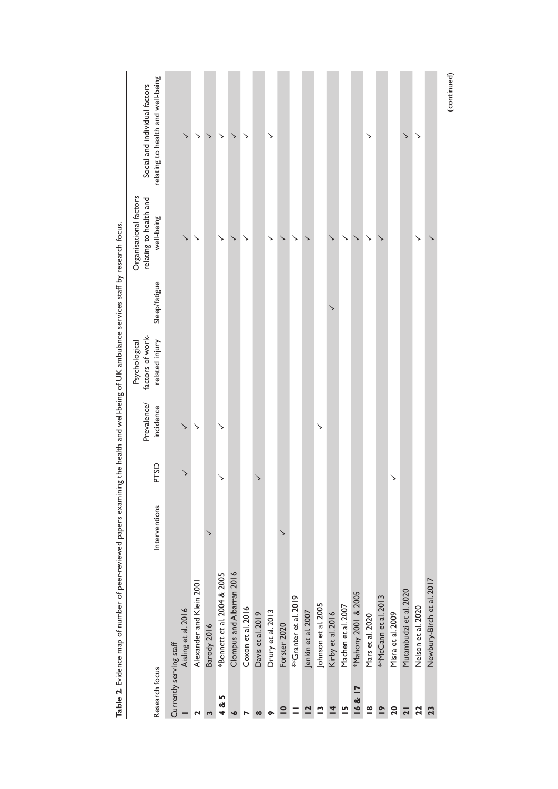|                          | I state of the product of the Secret Area of the Secret Area and the secret when the secret of the control of the control of the control of the secret of the secret of the secret of the secret of the secret of the secret o |               |              |                          |                                   |               |                                                  |                                   |
|--------------------------|--------------------------------------------------------------------------------------------------------------------------------------------------------------------------------------------------------------------------------|---------------|--------------|--------------------------|-----------------------------------|---------------|--------------------------------------------------|-----------------------------------|
| Research focus           |                                                                                                                                                                                                                                | Interventions | PTSD         | Prevalence/<br>incidence | factors of work-<br>Psychological | Sleep/fatigue | Organisational factors<br>relating to health and | Social and individual factors     |
|                          |                                                                                                                                                                                                                                |               |              |                          | related injury                    |               | well-being                                       | relating to health and well-being |
| Currently serving staff  |                                                                                                                                                                                                                                |               |              |                          |                                   |               |                                                  |                                   |
|                          | Aisling et al. 2016                                                                                                                                                                                                            |               | $\checkmark$ | ↘                        |                                   |               | ↘                                                | ↘                                 |
| 2                        | Alexander and Klein 2001                                                                                                                                                                                                       |               |              | ↘                        |                                   |               | ↘                                                | ↘                                 |
| S                        | Barody 2016                                                                                                                                                                                                                    | ↘             |              |                          |                                   |               |                                                  | ↘                                 |
| 4 & 5                    | *Bennett et al. 2004 & 2005                                                                                                                                                                                                    |               | ↘            | ↘                        |                                   |               | ↘                                                | ↘                                 |
| $\bullet$                | Clompus and Albarran 2016                                                                                                                                                                                                      |               |              |                          |                                   |               | ↘                                                | $\checkmark$                      |
| ∼                        | Coxon et al. 2016                                                                                                                                                                                                              |               |              |                          |                                   |               | ↘                                                | ↘                                 |
| $\infty$                 | Davis et al. 2019                                                                                                                                                                                                              |               |              |                          |                                   |               |                                                  |                                   |
| $\bullet$                | Drury et al. 2013                                                                                                                                                                                                              |               |              |                          |                                   |               | ↘                                                | ↘                                 |
| $\overline{\phantom{a}}$ | Forster 2020                                                                                                                                                                                                                   | ↘             |              |                          |                                   |               | ↘                                                |                                   |
|                          | **Granter et al. 2019                                                                                                                                                                                                          |               |              |                          |                                   |               | ↘                                                |                                   |
| $\overline{a}$           | Jenkin et al. 2007                                                                                                                                                                                                             |               |              |                          |                                   |               | ↘                                                |                                   |
| $\mathbf{r}$             | Johnson et al. 2005                                                                                                                                                                                                            |               |              | ↘                        |                                   |               |                                                  |                                   |
| $\overline{4}$           | Kirby et al. 2016                                                                                                                                                                                                              |               |              |                          |                                   | ↘             | ↘                                                |                                   |
| $\overline{5}$           | Machen et al. 2007                                                                                                                                                                                                             |               |              |                          |                                   |               | ↘                                                |                                   |
| 16&17                    | *Mahony 2001 & 2005                                                                                                                                                                                                            |               |              |                          |                                   |               | ↘                                                |                                   |
| $\overline{8}$           | Mars et al. 2020                                                                                                                                                                                                               |               |              |                          |                                   |               | ↘                                                | ↘                                 |
| $\tilde{=}$              | **McCann et al. 2013                                                                                                                                                                                                           |               |              |                          |                                   |               | ↘                                                |                                   |
| 20                       | Misra et al. 2009                                                                                                                                                                                                              |               | ↘            |                          |                                   |               |                                                  |                                   |
| $\overline{2}$           | Mutambudzi et al. 2020                                                                                                                                                                                                         |               |              |                          |                                   |               |                                                  | ↘                                 |
| 22                       | Nelson et al. 2020                                                                                                                                                                                                             |               |              |                          |                                   |               | ↘                                                | ↘                                 |
| 23                       | Newbury-Birch et al. 2017                                                                                                                                                                                                      |               |              |                          |                                   |               |                                                  |                                   |
|                          |                                                                                                                                                                                                                                |               |              |                          |                                   |               |                                                  | (continued)                       |

earch focus. **Table 2.** Evidence map of number of peer-reviewed papers examining the health and well-being of UK ambulance services staff by research focus.  $\frac{4}{3}$ examining the health and well-being of UK ambulance services reviewed pape Table 2. Evidence map of number of pe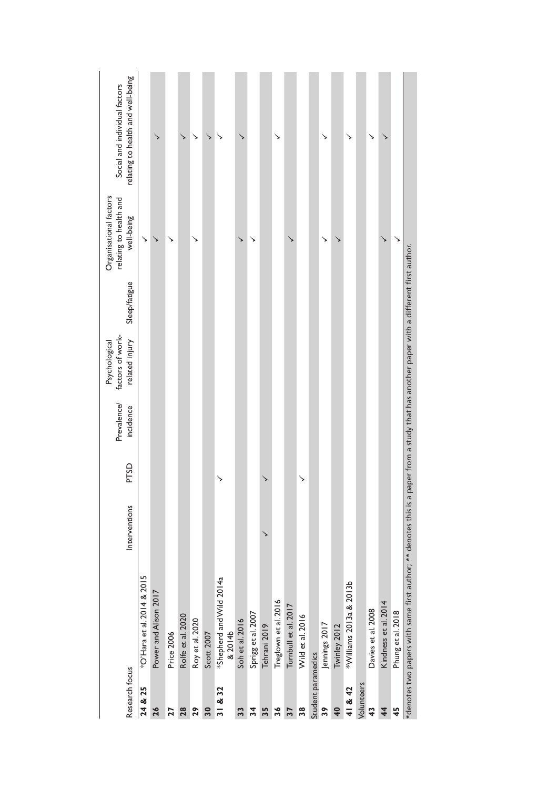| Research focus     |                                                                                                                                           | Interventions | PTSD | Prevalence/<br>incidence | factors of work-<br>related injury<br>Psychological | Sleep/fatigue | Organisational factors<br>relating to health and<br>well-being | relating to health and well-being<br>Social and individual factors |
|--------------------|-------------------------------------------------------------------------------------------------------------------------------------------|---------------|------|--------------------------|-----------------------------------------------------|---------------|----------------------------------------------------------------|--------------------------------------------------------------------|
| 24 & 25            | *O'Hara et al. 2014 & 2015                                                                                                                |               |      |                          |                                                     |               | ↘                                                              |                                                                    |
| 26                 | Power and Alison 2017                                                                                                                     |               |      |                          |                                                     |               | ↘                                                              | ↘                                                                  |
| <b>Z7</b>          | Price 2006                                                                                                                                |               |      |                          |                                                     |               | ↘                                                              |                                                                    |
| 28                 | Rolfe et al. 2020                                                                                                                         |               |      |                          |                                                     |               |                                                                | ↘                                                                  |
| 29                 | Roy et al. 2020                                                                                                                           |               |      |                          |                                                     |               | ↘                                                              | ↘                                                                  |
| 30                 | Scott 2007                                                                                                                                |               |      |                          |                                                     |               |                                                                | ↘                                                                  |
| 31 & 32            | *Shepherd and Wild 2014a<br>& 2014b                                                                                                       |               | ↘    |                          |                                                     |               |                                                                |                                                                    |
| 33                 | Soh et al. 2016                                                                                                                           |               |      |                          |                                                     |               | ↘                                                              |                                                                    |
| 34                 | Sprigg et al. 2007                                                                                                                        |               |      |                          |                                                     |               | ↘                                                              |                                                                    |
| 35                 | Tehrani 2019                                                                                                                              | ↘             | ↘    |                          |                                                     |               |                                                                |                                                                    |
| 36                 | Treglown et al. 2016                                                                                                                      |               |      |                          |                                                     |               |                                                                | ↘                                                                  |
| 37                 | Turnbull et al. 2017                                                                                                                      |               |      |                          |                                                     |               |                                                                |                                                                    |
| 38                 | Wild et al. 2016                                                                                                                          |               | ↘    |                          |                                                     |               |                                                                |                                                                    |
| Student paramedics |                                                                                                                                           |               |      |                          |                                                     |               |                                                                |                                                                    |
| 39                 | Jennings 2017                                                                                                                             |               |      |                          |                                                     |               | ↘                                                              | ↘                                                                  |
| $\frac{40}{5}$     | Twinley 2012                                                                                                                              |               |      |                          |                                                     |               |                                                                |                                                                    |
| 41 & 42            | *Williams 2013a & 2013b                                                                                                                   |               |      |                          |                                                     |               |                                                                | ↘                                                                  |
| Volunteers         |                                                                                                                                           |               |      |                          |                                                     |               |                                                                |                                                                    |
| $\frac{3}{4}$      | Davies et al. 2008                                                                                                                        |               |      |                          |                                                     |               |                                                                |                                                                    |
| $\frac{4}{4}$      | Kindness et al. 2014                                                                                                                      |               |      |                          |                                                     |               | ↘                                                              |                                                                    |
| 45                 | Phung et al. 2018                                                                                                                         |               |      |                          |                                                     |               | ↘                                                              |                                                                    |
|                    | *denotes two papers with same first author; ** denotes this is a paper from a study that has another paper with a different first author. |               |      |                          |                                                     |               |                                                                |                                                                    |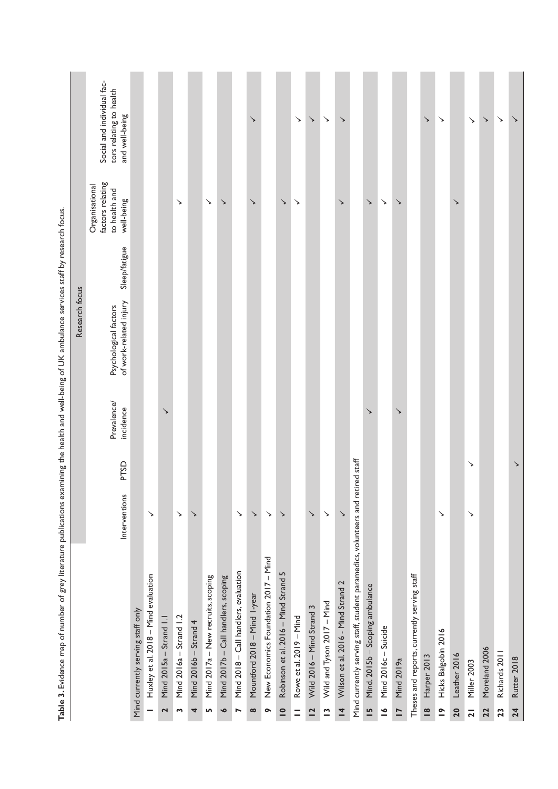|                |                                                                         |                                   |                                      |                         |                         |                       |                                    |                                     |                                       | ↘                            |                                      |                                      | ↘                       | ↘                         | $\searrow$                 | ↘                                  |                                                                                |                                 |                      |                   |                                             | ↘             | ↘                   |              |                | $\checkmark$  | ↘             | ↘           |
|----------------|-------------------------------------------------------------------------|-----------------------------------|--------------------------------------|-------------------------|-------------------------|-----------------------|------------------------------------|-------------------------------------|---------------------------------------|------------------------------|--------------------------------------|--------------------------------------|-------------------------|---------------------------|----------------------------|------------------------------------|--------------------------------------------------------------------------------|---------------------------------|----------------------|-------------------|---------------------------------------------|---------------|---------------------|--------------|----------------|---------------|---------------|-------------|
|                | Social and individual fac-<br>tors relating to health<br>and well-being |                                   |                                      |                         |                         |                       |                                    |                                     |                                       |                              |                                      |                                      |                         |                           |                            |                                    |                                                                                |                                 |                      |                   |                                             |               |                     |              | ↘              |               |               |             |
|                | factors relating<br>Organisational<br>to health and<br>well-being       |                                   |                                      |                         | ↘                       |                       | $\checkmark$                       | ↘                                   |                                       | ↘                            |                                      | $\checkmark$                         | ↘                       |                           |                            | ↘                                  |                                                                                | ↘                               | ↘                    | ↘                 |                                             |               |                     | ↘            |                |               |               |             |
|                | Sleep/fatigue                                                           |                                   |                                      |                         |                         |                       |                                    |                                     |                                       |                              |                                      |                                      |                         |                           |                            |                                    |                                                                                |                                 |                      |                   |                                             |               |                     |              |                |               |               |             |
| Research focus | of work-related injury<br>Psychological factors                         |                                   |                                      |                         |                         |                       |                                    |                                     |                                       |                              |                                      |                                      |                         |                           |                            |                                    |                                                                                |                                 |                      |                   |                                             |               |                     |              |                |               |               |             |
|                | Prevalence/<br>incidence                                                |                                   |                                      | $\checkmark$            |                         |                       |                                    |                                     |                                       |                              |                                      |                                      |                         |                           |                            |                                    |                                                                                | ↘                               |                      | ↘                 |                                             |               |                     |              |                |               |               |             |
|                | PTSD                                                                    |                                   |                                      |                         |                         |                       |                                    |                                     |                                       |                              |                                      |                                      |                         |                           |                            |                                    |                                                                                |                                 |                      |                   |                                             |               |                     |              | ↘              |               |               | ↘           |
|                | Interventions                                                           |                                   | $\searrow$                           |                         | ↘                       | ↘                     |                                    |                                     | $\searrow$                            | $\checkmark$                 | $\searrow$                           | ↘                                    |                         | ↘                         | ↘                          | ↘                                  |                                                                                |                                 |                      |                   |                                             |               | ↘                   |              | ↘              |               |               |             |
|                |                                                                         | Mind currently serving staff only | Huxley et al. 2018 - Mind evaluation | Mind 2015a - Strand 1.1 | Mind 2016a - Strand 1.2 | Mind 2016b - Strand 4 | Mind 2017a - New recruits, scoping | Mind 2017b - Call handlers, scoping | Mind 2018 - Call handlers, evaluation | Mountford 2018 - Mind I-year | New Economics Foundation 2017 - Mind | Robinson et al. 2016 - Mind Strand 5 | Rowe et al. 2019 - Mind | Wild 2016 - Mind Strand 3 | Wild and Tyson 2017 - Mind | Wilson et al. 2016 - Mind Strand 2 | Mind currently serving staff, student paramedics, volunteers and retired staff | Mind. 2015b - Scoping ambulance |                      |                   | Theses and reports, currently serving staff |               |                     |              |                |               |               |             |
|                |                                                                         |                                   |                                      |                         |                         |                       |                                    |                                     |                                       |                              |                                      |                                      |                         |                           |                            |                                    |                                                                                |                                 | Mind 2016c - Suicide | <b>Mind 2019a</b> |                                             | Harper 2013   | Hicks Balgobin 2016 | Leather 2016 | Miller 2003    | Moreland 2006 | Richards 2011 | Rutter 2018 |
|                |                                                                         |                                   |                                      | 2                       | S                       | 4                     | Lŋ,                                | $\bullet$                           | $\overline{ }$                        | $\infty$                     | $\bullet$                            | $\overline{\phantom{a}}$             | Ξ                       | $\overline{a}$            | $\tilde{ }$                | $\overline{4}$                     |                                                                                | $\overline{15}$                 | $\leq$               | $\overline{1}$    |                                             | $\frac{8}{1}$ | $\tilde{=}$         | 20           | $\overline{2}$ | 22            | 23            | 24          |

Table 3. Evidence map of number of grey literature publications examining the health and well-being of UK ambulance services staff by research focus. **Table 3.** Evidence map of number of grey literature publications examining the health and well-being of UK ambulance services staff by research focus.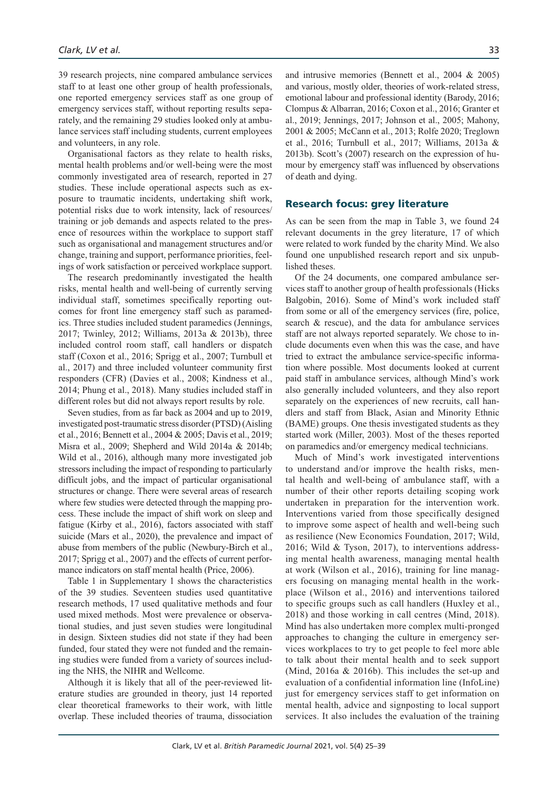39 research projects, nine compared ambulance services staff to at least one other group of health professionals, one reported emergency services staff as one group of emergency services staff, without reporting results separately, and the remaining 29 studies looked only at ambulance services staff including students, current employees and volunteers, in any role.

Organisational factors as they relate to health risks, mental health problems and/or well-being were the most commonly investigated area of research, reported in 27 studies. These include operational aspects such as exposure to traumatic incidents, undertaking shift work, potential risks due to work intensity, lack of resources/ training or job demands and aspects related to the presence of resources within the workplace to support staff such as organisational and management structures and/or change, training and support, performance priorities, feelings of work satisfaction or perceived workplace support.

The research predominantly investigated the health risks, mental health and well-being of currently serving individual staff, sometimes specifically reporting outcomes for front line emergency staff such as paramedics. Three studies included student paramedics (Jennings, 2017; Twinley, 2012; Williams, 2013a & 2013b), three included control room staff, call handlers or dispatch staff (Coxon et al., 2016; Sprigg et al., 2007; Turnbull et al., 2017) and three included volunteer community first responders (CFR) (Davies et al., 2008; Kindness et al., 2014; Phung et al., 2018). Many studies included staff in different roles but did not always report results by role.

Seven studies, from as far back as 2004 and up to 2019, investigated post-traumatic stress disorder (PTSD) (Aisling et al., 2016; Bennett et al., 2004 & 2005; Davis et al., 2019; Misra et al., 2009; Shepherd and Wild 2014a & 2014b; Wild et al., 2016), although many more investigated job stressors including the impact of responding to particularly difficult jobs, and the impact of particular organisational structures or change. There were several areas of research where few studies were detected through the mapping process. These include the impact of shift work on sleep and fatigue (Kirby et al., 2016), factors associated with staff suicide (Mars et al., 2020), the prevalence and impact of abuse from members of the public (Newbury-Birch et al., 2017; Sprigg et al., 2007) and the effects of current performance indicators on staff mental health (Price, 2006).

Table 1 in Supplementary 1 shows the characteristics of the 39 studies. Seventeen studies used quantitative research methods, 17 used qualitative methods and four used mixed methods. Most were prevalence or observational studies, and just seven studies were longitudinal in design. Sixteen studies did not state if they had been funded, four stated they were not funded and the remaining studies were funded from a variety of sources including the NHS, the NIHR and Wellcome.

Although it is likely that all of the peer-reviewed literature studies are grounded in theory, just 14 reported clear theoretical frameworks to their work, with little overlap. These included theories of trauma, dissociation and intrusive memories (Bennett et al., 2004 & 2005) and various, mostly older, theories of work-related stress, emotional labour and professional identity (Barody, 2016; Clompus & Albarran, 2016; Coxon et al., 2016; Granter et al., 2019; Jennings, 2017; Johnson et al., 2005; Mahony, 2001 & 2005; McCann et al., 2013; Rolfe 2020; Treglown et al., 2016; Turnbull et al., 2017; Williams, 2013a & 2013b). Scott's (2007) research on the expression of humour by emergency staff was influenced by observations of death and dying.

#### Research focus: grey literature

As can be seen from the map in Table 3, we found 24 relevant documents in the grey literature, 17 of which were related to work funded by the charity Mind. We also found one unpublished research report and six unpublished theses.

Of the 24 documents, one compared ambulance services staff to another group of health professionals (Hicks Balgobin, 2016). Some of Mind's work included staff from some or all of the emergency services (fire, police, search & rescue), and the data for ambulance services staff are not always reported separately. We chose to include documents even when this was the case, and have tried to extract the ambulance service-specific information where possible. Most documents looked at current paid staff in ambulance services, although Mind's work also generally included volunteers, and they also report separately on the experiences of new recruits, call handlers and staff from Black, Asian and Minority Ethnic (BAME) groups. One thesis investigated students as they started work (Miller, 2003). Most of the theses reported on paramedics and/or emergency medical technicians.

Much of Mind's work investigated interventions to understand and/or improve the health risks, mental health and well-being of ambulance staff, with a number of their other reports detailing scoping work undertaken in preparation for the intervention work. Interventions varied from those specifically designed to improve some aspect of health and well-being such as resilience (New Economics Foundation, 2017; Wild, 2016; Wild & Tyson, 2017), to interventions addressing mental health awareness, managing mental health at work (Wilson et al., 2016), training for line managers focusing on managing mental health in the workplace (Wilson et al., 2016) and interventions tailored to specific groups such as call handlers (Huxley et al., 2018) and those working in call centres (Mind, 2018). Mind has also undertaken more complex multi-pronged approaches to changing the culture in emergency services workplaces to try to get people to feel more able to talk about their mental health and to seek support (Mind, 2016a & 2016b). This includes the set-up and evaluation of a confidential information line (InfoLine) just for emergency services staff to get information on mental health, advice and signposting to local support services. It also includes the evaluation of the training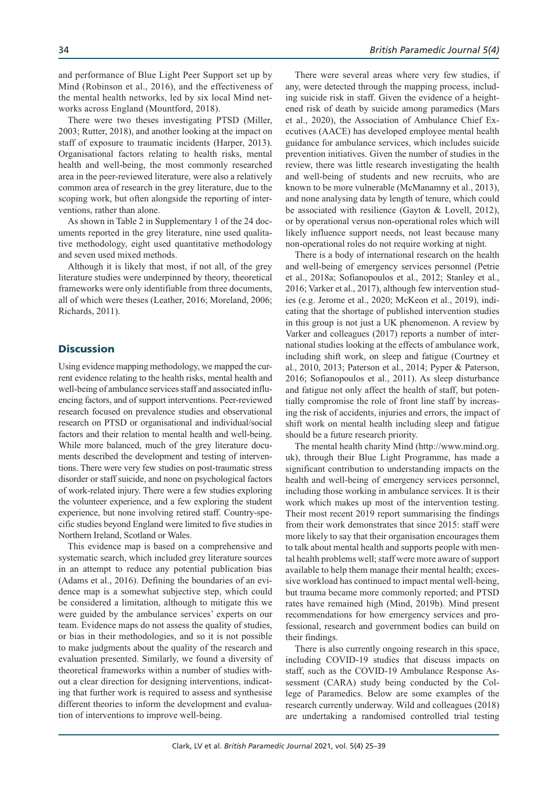and performance of Blue Light Peer Support set up by Mind (Robinson et al., 2016), and the effectiveness of the mental health networks, led by six local Mind networks across England (Mountford, 2018).

There were two theses investigating PTSD (Miller, 2003; Rutter, 2018), and another looking at the impact on staff of exposure to traumatic incidents (Harper, 2013). Organisational factors relating to health risks, mental health and well-being, the most commonly researched area in the peer-reviewed literature, were also a relatively common area of research in the grey literature, due to the scoping work, but often alongside the reporting of interventions, rather than alone.

As shown in Table 2 in Supplementary 1 of the 24 documents reported in the grey literature, nine used qualitative methodology, eight used quantitative methodology and seven used mixed methods.

Although it is likely that most, if not all, of the grey literature studies were underpinned by theory, theoretical frameworks were only identifiable from three documents, all of which were theses (Leather, 2016; Moreland, 2006; Richards, 2011).

#### **Discussion**

Using evidence mapping methodology, we mapped the current evidence relating to the health risks, mental health and well-being of ambulance services staff and associated influencing factors, and of support interventions. Peer-reviewed research focused on prevalence studies and observational research on PTSD or organisational and individual/social factors and their relation to mental health and well-being. While more balanced, much of the grey literature documents described the development and testing of interventions. There were very few studies on post-traumatic stress disorder or staff suicide, and none on psychological factors of work-related injury. There were a few studies exploring the volunteer experience, and a few exploring the student experience, but none involving retired staff. Country-specific studies beyond England were limited to five studies in Northern Ireland, Scotland or Wales.

This evidence map is based on a comprehensive and systematic search, which included grey literature sources in an attempt to reduce any potential publication bias (Adams et al., 2016). Defining the boundaries of an evidence map is a somewhat subjective step, which could be considered a limitation, although to mitigate this we were guided by the ambulance services' experts on our team. Evidence maps do not assess the quality of studies, or bias in their methodologies, and so it is not possible to make judgments about the quality of the research and evaluation presented. Similarly, we found a diversity of theoretical frameworks within a number of studies without a clear direction for designing interventions, indicating that further work is required to assess and synthesise different theories to inform the development and evaluation of interventions to improve well-being.

There were several areas where very few studies, if any, were detected through the mapping process, including suicide risk in staff. Given the evidence of a heightened risk of death by suicide among paramedics (Mars et al., 2020), the Association of Ambulance Chief Executives (AACE) has developed employee mental health guidance for ambulance services, which includes suicide prevention initiatives. Given the number of studies in the review, there was little research investigating the health and well-being of students and new recruits, who are known to be more vulnerable (McManamny et al., 2013), and none analysing data by length of tenure, which could be associated with resilience (Gayton & Lovell, 2012), or by operational versus non-operational roles which will likely influence support needs, not least because many non-operational roles do not require working at night.

There is a body of international research on the health and well-being of emergency services personnel (Petrie et al., 2018a; Sofianopoulos et al., 2012; Stanley et al., 2016; Varker et al., 2017), although few intervention studies (e.g. Jerome et al., 2020; McKeon et al., 2019), indicating that the shortage of published intervention studies in this group is not just a UK phenomenon. A review by Varker and colleagues (2017) reports a number of international studies looking at the effects of ambulance work, including shift work, on sleep and fatigue (Courtney et al., 2010, 2013; Paterson et al., 2014; Pyper & Paterson, 2016; Sofianopoulos et al., 2011). As sleep disturbance and fatigue not only affect the health of staff, but potentially compromise the role of front line staff by increasing the risk of accidents, injuries and errors, the impact of shift work on mental health including sleep and fatigue should be a future research priority.

The mental health charity Mind (http://www.mind.org. uk), through their Blue Light Programme, has made a significant contribution to understanding impacts on the health and well-being of emergency services personnel, including those working in ambulance services. It is their work which makes up most of the intervention testing. Their most recent 2019 report summarising the findings from their work demonstrates that since 2015: staff were more likely to say that their organisation encourages them to talk about mental health and supports people with mental health problems well; staff were more aware of support available to help them manage their mental health; excessive workload has continued to impact mental well-being, but trauma became more commonly reported; and PTSD rates have remained high (Mind, 2019b). Mind present recommendations for how emergency services and professional, research and government bodies can build on their findings.

There is also currently ongoing research in this space, including COVID-19 studies that discuss impacts on staff, such as the COVID-19 Ambulance Response Assessment (CARA) study being conducted by the College of Paramedics. Below are some examples of the research currently underway. Wild and colleagues (2018) are undertaking a randomised controlled trial testing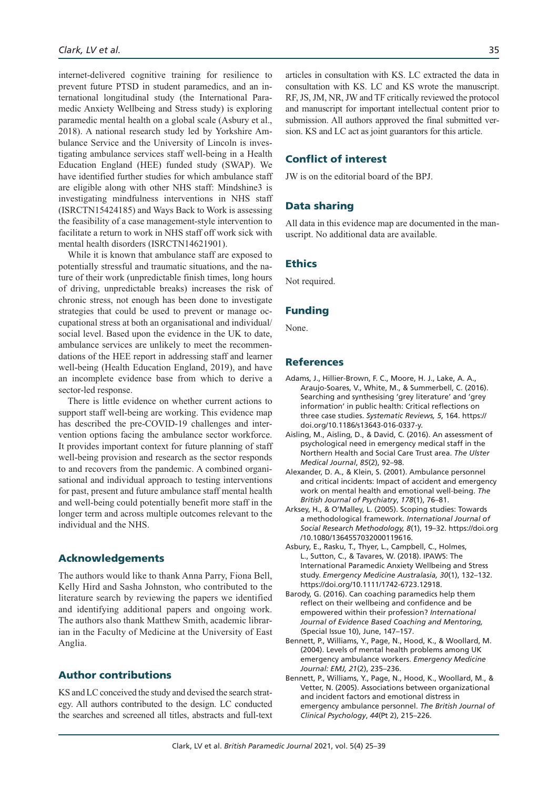internet-delivered cognitive training for resilience to prevent future PTSD in student paramedics, and an international longitudinal study (the International Paramedic Anxiety Wellbeing and Stress study) is exploring paramedic mental health on a global scale (Asbury et al., 2018). A national research study led by Yorkshire Ambulance Service and the University of Lincoln is investigating ambulance services staff well-being in a Health Education England (HEE) funded study (SWAP). We have identified further studies for which ambulance staff are eligible along with other NHS staff: Mindshine3 is investigating mindfulness interventions in NHS staff (ISRCTN15424185) and Ways Back to Work is assessing the feasibility of a case management-style intervention to facilitate a return to work in NHS staff off work sick with mental health disorders (ISRCTN14621901).

While it is known that ambulance staff are exposed to potentially stressful and traumatic situations, and the nature of their work (unpredictable finish times, long hours of driving, unpredictable breaks) increases the risk of chronic stress, not enough has been done to investigate strategies that could be used to prevent or manage occupational stress at both an organisational and individual/ social level. Based upon the evidence in the UK to date, ambulance services are unlikely to meet the recommendations of the HEE report in addressing staff and learner well-being (Health Education England, 2019), and have an incomplete evidence base from which to derive a sector-led response.

There is little evidence on whether current actions to support staff well-being are working. This evidence map has described the pre-COVID-19 challenges and intervention options facing the ambulance sector workforce. It provides important context for future planning of staff well-being provision and research as the sector responds to and recovers from the pandemic. A combined organisational and individual approach to testing interventions for past, present and future ambulance staff mental health and well-being could potentially benefit more staff in the longer term and across multiple outcomes relevant to the individual and the NHS.

# Acknowledgements

The authors would like to thank Anna Parry, Fiona Bell, Kelly Hird and Sasha Johnston, who contributed to the literature search by reviewing the papers we identified and identifying additional papers and ongoing work. The authors also thank Matthew Smith, academic librarian in the Faculty of Medicine at the University of East Anglia.

## Author contributions

KS and LC conceived the study and devised the search strategy. All authors contributed to the design. LC conducted the searches and screened all titles, abstracts and full-text articles in consultation with KS. LC extracted the data in consultation with KS. LC and KS wrote the manuscript. RF, JS, JM, NR, JW and TF critically reviewed the protocol and manuscript for important intellectual content prior to submission. All authors approved the final submitted version. KS and LC act as joint guarantors for this article.

# Conflict of interest

JW is on the editorial board of the BPJ.

# Data sharing

All data in this evidence map are documented in the manuscript. No additional data are available.

#### **Ethics**

Not required.

#### Funding

None.

#### References

- Adams, J., Hillier-Brown, F. C., Moore, H. J., Lake, A. A., Araujo-Soares, V., White, M., & Summerbell, C. (2016). Searching and synthesising 'grey literature' and 'grey information' in public health: Critical reflections on three case studies. *Systematic Reviews, 5*, 164. https:// doi.org/10.1186/s13643-016-0337-y.
- Aisling, M., Aisling, D., & David, C. (2016). An assessment of psychological need in emergency medical staff in the Northern Health and Social Care Trust area. *The Ulster Medical Journal*, *85*(2), 92–98.
- Alexander, D. A., & Klein, S. (2001). Ambulance personnel and critical incidents: Impact of accident and emergency work on mental health and emotional well-being. *The British Journal of Psychiatry*, *178*(1), 76–81.
- Arksey, H., & O'Malley, L. (2005). Scoping studies: Towards a methodological framework. *International Journal of Social Research Methodology, 8*(1), 19–32. https://doi.org /10.1080/1364557032000119616.
- Asbury, E., Rasku, T., Thyer, L., Campbell, C., Holmes, L., Sutton, C., & Tavares, W. (2018). IPAWS: The International Paramedic Anxiety Wellbeing and Stress study. *Emergency Medicine Australasia, 30*(1), 132–132. https://doi.org/10.1111/1742-6723.12918.
- Barody, G. (2016). Can coaching paramedics help them reflect on their wellbeing and confidence and be empowered within their profession? *International Journal of Evidence Based Coaching and Mentoring,* (Special Issue 10), June, 147–157.
- Bennett, P., Williams, Y., Page, N., Hood, K., & Woollard, M. (2004). Levels of mental health problems among UK emergency ambulance workers. *Emergency Medicine Journal: EMJ, 21*(2), 235–236.
- Bennett, P., Williams, Y., Page, N., Hood, K., Woollard, M., & Vetter, N. (2005). Associations between organizational and incident factors and emotional distress in emergency ambulance personnel. *The British Journal of Clinical Psychology*, *44*(Pt 2), 215–226.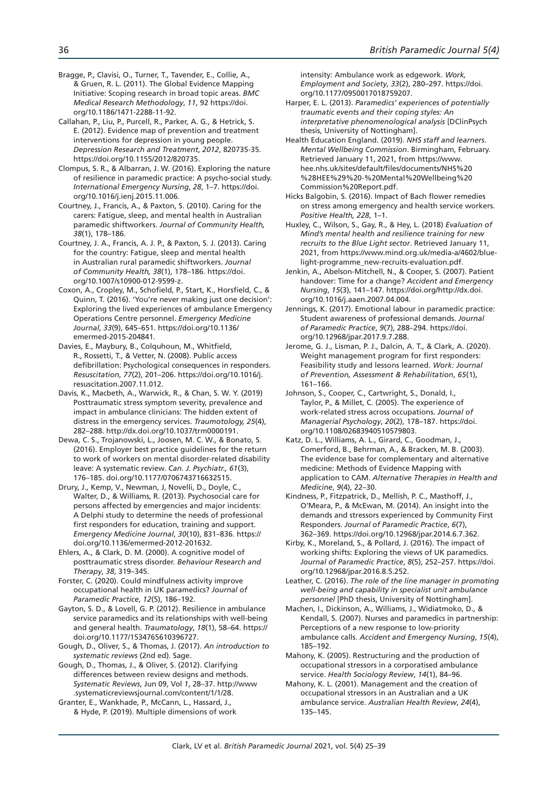Bragge, P., Clavisi, O., Turner, T., Tavender, E., Collie, A., & Gruen, R. L. (2011). The Global Evidence Mapping Initiative: Scoping research in broad topic areas. *BMC Medical Research Methodology*, *11*, 92 https://doi. org/10.1186/1471-2288-11-92.

Callahan, P., Liu, P., Purcell, R., Parker, A. G., & Hetrick, S. E. (2012). Evidence map of prevention and treatment interventions for depression in young people. *Depression Research and Treatment*, *2012*, 820735-35. https://doi.org/10.1155/2012/820735.

Clompus, S. R., & Albarran, J. W. (2016). Exploring the nature of resilience in paramedic practice: A psycho-social study. *International Emergency Nursing*, *28*, 1–7. https://doi. org/10.1016/j.ienj.2015.11.006.

Courtney, J., Francis, A., & Paxton, S. (2010). Caring for the carers: Fatigue, sleep, and mental health in Australian paramedic shiftworkers. *Journal of Community Health, 38*(1), 178–186.

Courtney, J. A., Francis, A. J. P., & Paxton, S. J. (2013). Caring for the country: Fatigue, sleep and mental health in Australian rural paramedic shiftworkers. *Journal of Community Health, 38*(1), 178–186. https://doi. org/10.1007/s10900-012-9599-z.

Coxon, A., Cropley, M., Schofield, P., Start, K., Horsfield, C., & Quinn, T. (2016). 'You're never making just one decision': Exploring the lived experiences of ambulance Emergency Operations Centre personnel. *Emergency Medicine Journal*, *33*(9), 645–651. https://doi.org/10.1136/ emermed-2015-204841.

Davies, E., Maybury, B., Colquhoun, M., Whitfield, R., Rossetti, T., & Vetter, N. (2008). Public access defibrillation: Psychological consequences in responders. *Resuscitation*, *77*(2), 201–206. https://doi.org/10.1016/j. resuscitation.2007.11.012.

Davis, K., Macbeth, A., Warwick, R., & Chan, S. W. Y. (2019) Posttraumatic stress symptom severity, prevalence and impact in ambulance clinicians: The hidden extent of distress in the emergency services. *Traumotology, 25*(4), 282–288. http://dx.doi.org/10.1037/trm0000191.

Dewa, C. S., Trojanowski, L., Joosen, M. C. W., & Bonato, S. (2016). Employer best practice guidelines for the return to work of workers on mental disorder-related disability leave: A systematic review. *Can. J. Psychiatr., 61*(3), 176–185. doi.org/10.1177/0706743716632515.

Drury, J., Kemp, V., Newman, J, Novelli, D., Doyle, C., Walter, D., & Williams, R. (2013). Psychosocial care for persons affected by emergencies and major incidents: A Delphi study to determine the needs of professional first responders for education, training and support. *Emergency Medicine Journal*, *30*(10), 831–836. https:// doi.org/10.1136/emermed-2012-201632.

Ehlers, A., & Clark, D. M. (2000). A cognitive model of posttraumatic stress disorder. *Behaviour Research and Therapy*, *38*, 319–345.

Forster, C. (2020). Could mindfulness activity improve occupational health in UK paramedics? *Journal of Paramedic Practice*, *12*(5), 186–192.

Gayton, S. D., & Lovell, G. P. (2012). Resilience in ambulance service paramedics and its relationships with well-being and general health. *Traumatology*, *18*(1), 58–64. https:// doi.org/10.1177/1534765610396727.

Gough, D., Oliver, S., & Thomas, J. (2017). *An introduction to systematic reviews* (2nd ed). Sage.

Gough, D., Thomas, J., & Oliver, S. (2012). Clarifying differences between review designs and methods. *Systematic Reviews*, Jun 09, Vol *1*, 28–37. http://www .systematicreviewsjournal.com/content/1/1/28.

Granter, E., Wankhade, P., McCann, L., Hassard, J., & Hyde, P. (2019). Multiple dimensions of work intensity: Ambulance work as edgework. *Work, Employment and Society*, *33*(2), 280–297. https://doi. org/10.1177/0950017018759207.

Harper, E. L. (2013). *Paramedics' experiences of potentially traumatic events and their coping styles: An interpretative phenomenological analysis* [DClinPsych thesis, University of Nottingham].

Health Education England. (2019). *NHS staff and learners. Mental Wellbeing Commission*. Birmingham, February. Retrieved January 11, 2021, from https://www. hee.nhs.uk/sites/default/files/documents/NHS%20 %28HEE%29%20-%20Mental%20Wellbeing%20 Commission%20Report.pdf.

Hicks Balgobin, S. (2016). Impact of Bach flower remedies on stress among emergency and health service workers. *Positive Health, 228*, 1–1.

Huxley, C., Wilson, S., Gay, R., & Hey, L. (2018) *Evaluation of Mind's mental health and resilience training for new recruits to the Blue Light sector*. Retrieved January 11, 2021, from https://www.mind.org.uk/media-a/4602/bluelight-programme\_new-recruits-evaluation.pdf.

Jenkin, A., Abelson-Mitchell, N., & Cooper, S. (2007). Patient handover: Time for a change? *Accident and Emergency Nursing*, *15*(3), 141–147. https://doi.org/http://dx.doi. org/10.1016/j.aaen.2007.04.004.

Jennings, K. (2017). Emotional labour in paramedic practice: Student awareness of professional demands. *Journal of Paramedic Practice*, *9*(7), 288–294. https://doi. org/10.12968/jpar.2017.9.7.288.

Jerome, G. J., Lisman, P. J., Dalcin, A. T., & Clark, A. (2020). Weight management program for first responders: Feasibility study and lessons learned. *Work: Journal of Prevention, Assessment & Rehabilitation*, *65*(1), 161–166.

Johnson, S., Cooper, C., Cartwright, S., Donald, I., Taylor, P., & Millet, C. (2005). The experience of work-related stress across occupations. *Journal of Managerial Psychology*, *20*(2), 178–187. https://doi. org/10.1108/02683940510579803.

Katz, D. L., Williams, A. L., Girard, C., Goodman, J., Comerford, B., Behrman, A., & Bracken, M. B. (2003). The evidence base for complementary and alternative medicine: Methods of Evidence Mapping with application to CAM. *Alternative Therapies in Health and Medicine*, *9*(4), 22–30.

Kindness, P., Fitzpatrick, D., Mellish, P. C., Masthoff, J., O'Meara, P., & McEwan, M. (2014). An insight into the demands and stressors experienced by Community First Responders. *Journal of Paramedic Practice*, *6*(7), 362–369. https://doi.org/10.12968/jpar.2014.6.7.362.

Kirby, K., Moreland, S., & Pollard, J. (2016). The impact of working shifts: Exploring the views of UK paramedics. *Journal of Paramedic Practice*, *8*(5), 252–257. https://doi. org/10.12968/jpar.2016.8.5.252.

Leather, C. (2016). *The role of the line manager in promoting well-being and capability in specialist unit ambulance personnel* [PhD thesis, University of Nottingham].

Machen, I., Dickinson, A., Williams, J., Widiatmoko, D., & Kendall, S. (2007). Nurses and paramedics in partnership: Perceptions of a new response to low-priority ambulance calls. *Accident and Emergency Nursing*, *15*(4), 185–192.

Mahony, K. (2005). Restructuring and the production of occupational stressors in a corporatised ambulance service. *Health Sociology Review*, *14*(1), 84–96.

Mahony, K. L. (2001). Management and the creation of occupational stressors in an Australian and a UK ambulance service. *Australian Health Review*, *24*(4), 135–145.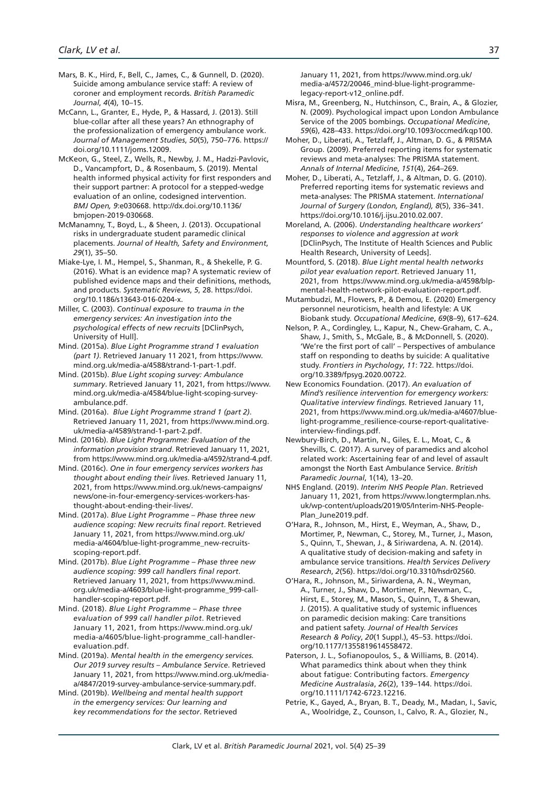- Mars, B. K., Hird, F., Bell, C., James, C., & Gunnell, D. (2020). Suicide among ambulance service staff: A review of coroner and employment records. *British Paramedic Journal*, *4*(4), 10–15.
- McCann, L., Granter, E., Hyde, P., & Hassard, J. (2013). Still blue-collar after all these years? An ethnography of the professionalization of emergency ambulance work. *Journal of Management Studies*, *50*(5), 750–776. https:// doi.org/10.1111/joms.12009.
- McKeon, G., Steel, Z., Wells, R., Newby, J. M., Hadzi-Pavlovic, D., Vancampfort, D., & Rosenbaum, S. (2019). Mental health informed physical activity for first responders and their support partner: A protocol for a stepped-wedge evaluation of an online, codesigned intervention. *BMJ Open, 9*:e030668. http://dx.doi.org/10.1136/ bmjopen-2019-030668.
- McManamny, T., Boyd, L., & Sheen, J. (2013). Occupational risks in undergraduate student paramedic clinical placements. *Journal of Health, Safety and Environment*, *29*(1), 35–50.
- Miake-Lye, I. M., Hempel, S., Shanman, R., & Shekelle, P. G. (2016). What is an evidence map? A systematic review of published evidence maps and their definitions, methods, and products. *Systematic Reviews*, *5*, 28. https://doi. org/10.1186/s13643-016-0204-x.
- Miller, C. (2003). *Continual exposure to trauma in the emergency services: An investigation into the psychological effects of new recruits* [DClinPsych, University of Hull].
- Mind. (2015a). *Blue Light Programme strand 1 evaluation (part 1)*. Retrieved January 11 2021, from https://www. mind.org.uk/media-a/4588/strand-1-part-1.pdf.
- Mind. (2015b). *Blue Light scoping survey: Ambulance summary*. Retrieved January 11, 2021, from https://www. mind.org.uk/media-a/4584/blue-light-scoping-surveyambulance.pdf.
- Mind. (2016a). *Blue Light Programme strand 1 (part 2)*. Retrieved January 11, 2021, from https://www.mind.org. uk/media-a/4589/strand-1-part-2.pdf.
- Mind. (2016b). *Blue Light Programme: Evaluation of the information provision strand*. Retrieved January 11, 2021, from https://www.mind.org.uk/media-a/4592/strand-4.pdf.
- Mind. (2016c). *One in four emergency services workers has thought about ending their lives*. Retrieved January 11, 2021, from https://www.mind.org.uk/news-campaigns/ news/one-in-four-emergency-services-workers-hasthought-about-ending-their-lives/.
- Mind. (2017a). *Blue Light Programme Phase three new audience scoping: New recruits final report*. Retrieved January 11, 2021, from https://www.mind.org.uk/ media-a/4604/blue-light-programme\_new-recruitsscoping-report.pdf.
- Mind. (2017b). *Blue Light Programme Phase three new audience scoping: 999 call handlers final report*. Retrieved January 11, 2021, from https://www.mind. org.uk/media-a/4603/blue-light-programme\_999-callhandler-scoping-report.pdf.
- Mind. (2018). *Blue Light Programme Phase three evaluation of 999 call handler pilot*. Retrieved January 11, 2021, from https://www.mind.org.uk/ media-a/4605/blue-light-programme\_call-handlerevaluation.pdf.
- Mind. (2019a). *Mental health in the emergency services. Our 2019 survey results – Ambulance Service*. Retrieved January 11, 2021, from https://www.mind.org.uk/mediaa/4847/2019-survey-ambulance-service-summary.pdf.
- Mind. (2019b). *Wellbeing and mental health support in the emergency services: Our learning and key recommendations for the sector*. Retrieved

January 11, 2021, from https://www.mind.org.uk/ media-a/4572/20046\_mind-blue-light-programmelegacy-report-v12\_online.pdf.

- Misra, M., Greenberg, N., Hutchinson, C., Brain, A., & Glozier, N. (2009). Psychological impact upon London Ambulance Service of the 2005 bombings. *Occupational Medicine*, *59*(6), 428–433. https://doi.org/10.1093/occmed/kqp100.
- Moher, D., Liberati, A., Tetzlaff, J., Altman, D. G., & PRISMA Group. (2009). Preferred reporting items for systematic reviews and meta-analyses: The PRISMA statement. *Annals of Internal Medicine*, *151*(4), 264–269.
- Moher, D., Liberati, A., Tetzlaff, J., & Altman, D. G. (2010). Preferred reporting items for systematic reviews and meta-analyses: The PRISMA statement. *International Journal of Surgery (London, England), 8*(5), 336–341. https://doi.org/10.1016/j.ijsu.2010.02.007.

Moreland, A. (2006). *Understanding healthcare workers' responses to violence and aggression at work* [DClinPsych, The Institute of Health Sciences and Public Health Research, University of Leeds].

- Mountford, S. (2018). *Blue Light mental health networks pilot year evaluation report*. Retrieved January 11, 2021, from https://www.mind.org.uk/media-a/4598/blpmental-health-network-pilot-evaluation-report.pdf.
- Mutambudzi, M., Flowers, P., & Demou, E. (2020) Emergency personnel neuroticism, health and lifestyle: A UK Biobank study. *Occupational Medicine*, *69*(8–9), 617–624.
- Nelson, P. A., Cordingley, L., Kapur, N., Chew-Graham, C. A., Shaw, J., Smith, S., McGale, B., & McDonnell, S. (2020). 'We're the first port of call' – Perspectives of ambulance staff on responding to deaths by suicide: A qualitative study. *Frontiers in Psychology*, *11*: 722. https://doi. org/10.3389/fpsyg.2020.00722.
- New Economics Foundation. (2017). *An evaluation of Mind's resilience intervention for emergency workers: Qualitative interview findings*. Retrieved January 11, 2021, from https://www.mind.org.uk/media-a/4607/bluelight-programme\_resilience-course-report-qualitativeinterview-findings.pdf.
- Newbury-Birch, D., Martin, N., Giles, E. L., Moat, C., & Shevills, C. (2017). A survey of paramedics and alcohol related work: Ascertaining fear of and level of assault amongst the North East Ambulance Service. *British Paramedic Journal*, 1(14), 13–20.
- NHS England. (2019). *Interim NHS People Plan*. Retrieved January 11, 2021, from https://www.longtermplan.nhs. uk/wp-content/uploads/2019/05/Interim-NHS-People-Plan\_June2019.pdf.
- O'Hara, R., Johnson, M., Hirst, E., Weyman, A., Shaw, D., Mortimer, P., Newman, C., Storey, M., Turner, J., Mason, S., Quinn, T., Shewan, J., & Siriwardena, A. N. (2014). A qualitative study of decision-making and safety in ambulance service transitions. *Health Services Delivery Research*, *2*(56). https://doi.org/10.3310/hsdr02560.
- O'Hara, R., Johnson, M., Siriwardena, A. N., Weyman, A., Turner, J., Shaw, D., Mortimer, P., Newman, C., Hirst, E., Storey, M., Mason, S., Quinn, T., & Shewan, J. (2015). A qualitative study of systemic influences on paramedic decision making: Care transitions and patient safety. *Journal of Health Services Research & Policy*, *20*(1 Suppl.), 45–53. https://doi. org/10.1177/1355819614558472.
- Paterson, J. L., Sofianopoulos, S., & Williams, B. (2014). What paramedics think about when they think about fatigue: Contributing factors. *Emergency Medicine Australasia*, *26*(2), 139–144. https://doi. org/10.1111/1742-6723.12216.
- Petrie, K., Gayed, A., Bryan, B. T., Deady, M., Madan, I., Savic, A., Woolridge, Z., Counson, I., Calvo, R. A., Glozier, N.,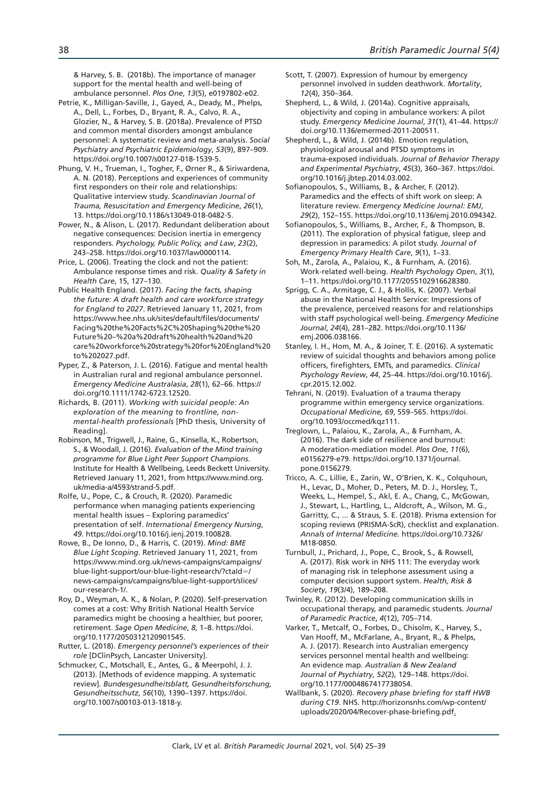& Harvey, S. B. (2018b). The importance of manager support for the mental health and well-being of ambulance personnel. *Plos One*, *13*(5), e0197802-e02.

- Petrie, K., Milligan-Saville, J., Gayed, A., Deady, M., Phelps, A., Dell, L., Forbes, D., Bryant, R. A., Calvo, R. A., Glozier, N., & Harvey, S. B. (2018a). Prevalence of PTSD and common mental disorders amongst ambulance personnel: A systematic review and meta-analysis. *Social Psychiatry and Psychiatric Epidemiology*, *53*(9), 897–909. https://doi.org/10.1007/s00127-018-1539-5.
- Phung, V. H., Trueman, I., Togher, F., Ørner R., & Siriwardena, A. N. (2018). Perceptions and experiences of community first responders on their role and relationships: Qualitative interview study. *Scandinavian Journal of Trauma, Resuscitation and Emergency Medicine*, *26*(1), 13. https://doi.org/10.1186/s13049-018-0482-5.
- Power, N., & Alison, L. (2017). Redundant deliberation about negative consequences: Decision inertia in emergency responders. *Psychology, Public Policy, and Law*, *23*(2), 243–258. https://doi.org/10.1037/law0000114.
- Price, L. (2006). Treating the clock and not the patient: Ambulance response times and risk. *Quality & Safety in Health Care*, 15, 127–130.
- Public Health England. (2017). *Facing the facts, shaping the future: A draft health and care workforce strategy for England to 2027*. Retrieved January 11, 2021, from https://www.hee.nhs.uk/sites/default/files/documents/ Facing%20the%20Facts%2C%20Shaping%20the%20 Future%20–%20a%20draft%20health%20and%20 care%20workforce%20strategy%20for%20England%20 to%202027.pdf.
- Pyper, Z., & Paterson, J. L. (2016). Fatigue and mental health in Australian rural and regional ambulance personnel. *Emergency Medicine Australasia*, *28*(1), 62–66. https:// doi.org/10.1111/1742-6723.12520.
- Richards, B. (2011). *Working with suicidal people: An exploration of the meaning to frontline, nonmental-health professionals* [PhD thesis, University of Reading].
- Robinson, M., Trigwell, J., Raine, G., Kinsella, K., Robertson, S., & Woodall, J. (2016). *Evaluation of the Mind training programme for Blue Light Peer Support Champions*. Institute for Health & Wellbeing, Leeds Beckett University. Retrieved January 11, 2021, from https://www.mind.org. uk/media-a/4593/strand-5.pdf.
- Rolfe, U., Pope, C., & Crouch, R. (2020). Paramedic performance when managing patients experiencing mental health issues – Exploring paramedics' presentation of self. *International Emergency Nursing*, *49*. https://doi.org/10.1016/j.ienj.2019.100828.
- Rowe, B., De Ionno, D., & Harris, C. (2019). *Mind: BME Blue Light Scoping*. Retrieved January 11, 2021, from https://www.mind.org.uk/news-campaigns/campaigns/ blue-light-support/our-blue-light-research/?ctaId=/ news-campaigns/campaigns/blue-light-support/slices/ our-research-1/.
- Roy, D., Weyman, A. K., & Nolan, P. (2020). Self-preservation comes at a cost: Why British National Health Service paramedics might be choosing a healthier, but poorer, retirement. *Sage Open Medicine*, *8*, 1–8. https://doi. org/10.1177/2050312120901545.
- Rutter, L. (2018). *Emergency personnel's experiences of their role* [DClinPsych, Lancaster University].
- Schmucker, C., Motschall, E., Antes, G., & Meerpohl, J. J. (2013). [Methods of evidence mapping. A systematic review]. *Bundesgesundheitsblatt, Gesundheitsforschung, Gesundheitsschutz*, *56*(10), 1390–1397. https://doi. org/10.1007/s00103-013-1818-y.
- Scott, T. (2007). Expression of humour by emergency personnel involved in sudden deathwork. *Mortality*, *12*(4), 350–364.
- Shepherd, L., & Wild, J. (2014a). Cognitive appraisals, objectivity and coping in ambulance workers: A pilot study. *Emergency Medicine Journal*, *31*(1), 41–44. https:// doi.org/10.1136/emermed-2011-200511.
- Shepherd, L., & Wild, J. (2014b). Emotion regulation, physiological arousal and PTSD symptoms in trauma-exposed individuals. *Journal of Behavior Therapy and Experimental Psychiatry*, *45*(3), 360–367. https://doi. org/10.1016/j.jbtep.2014.03.002.
- Sofianopoulos, S., Williams, B., & Archer, F. (2012). Paramedics and the effects of shift work on sleep: A literature review. *Emergency Medicine Journal: EMJ*, *29*(2), 152–155. https://doi.org/10.1136/emj.2010.094342.
- Sofianopoulos, S., Williams, B., Archer, F., & Thompson, B. (2011). The exploration of physical fatigue, sleep and depression in paramedics: A pilot study. *Journal of Emergency Primary Health Care*, *9*(1), 1–33.
- Soh, M., Zarola, A., Palaiou, K., & Furnham, A. (2016). Work-related well-being. *Health Psychology Open*, *3*(1), 1–11. https://doi.org/10.1177/2055102916628380.
- Sprigg, C. A., Armitage, C. J., & Hollis, K. (2007). Verbal abuse in the National Health Service: Impressions of the prevalence, perceived reasons for and relationships with staff psychological well-being. *Emergency Medicine Journal*, *24*(4), 281–282. https://doi.org/10.1136/ emj.2006.038166.
- Stanley, I. H., Hom, M. A., & Joiner, T. E. (2016). A systematic review of suicidal thoughts and behaviors among police officers, firefighters, EMTs, and paramedics. *Clinical Psychology Review*, *44*, 25–44. https://doi.org/10.1016/j. cpr.2015.12.002.
- Tehrani, N. (2019). Evaluation of a trauma therapy programme within emergency service organizations. *Occupational Medicine, 69*, 559–565. https://doi. org/10.1093/occmed/kqz111.
- Treglown, L., Palaiou, K., Zarola, A., & Furnham, A. (2016). The dark side of resilience and burnout: A moderation-mediation model. *Plos One*, *11*(6), e0156279-e79. https://doi.org/10.1371/journal. pone.0156279.
- Tricco, A. C., Lillie, E., Zarin, W., O'Brien, K. K., Colquhoun, H., Levac, D., Moher, D., Peters, M. D. J., Horsley, T., Weeks, L., Hempel, S., Akl, E. A., Chang, C., McGowan, J., Stewart, L., Hartling, L., Aldcroft, A., Wilson, M. G., Garritty, C., ... & Straus, S. E. (2018). Prisma extension for scoping reviews (PRISMA-ScR), checklist and explanation. *Annals of Internal Medicine.* https://doi.org/10.7326/ M18-0850.
- Turnbull, J., Prichard, J., Pope, C., Brook, S., & Rowsell, A. (2017). Risk work in NHS 111: The everyday work of managing risk in telephone assessment using a computer decision support system. *Health, Risk & Society*, *19*(3/4), 189–208.
- Twinley, R. (2012). Developing communication skills in occupational therapy, and paramedic students. *Journal of Paramedic Practice*, *4*(12), 705–714.
- Varker, T., Metcalf, O., Forbes, D., Chisolm, K., Harvey, S., Van Hooff, M., McFarlane, A., Bryant, R., & Phelps, A. J. (2017). Research into Australian emergency services personnel mental health and wellbeing: An evidence map. *Australian & New Zealand Journal of Psychiatry*, *52*(2), 129–148. https://doi. org/10.1177/0004867417738054.
- Wallbank, S. (2020). *Recovery phase briefing for staff HWB during C19*. NHS. http://horizonsnhs.com/wp-content/ uploads/2020/04/Recover-phase-briefing.pdf.